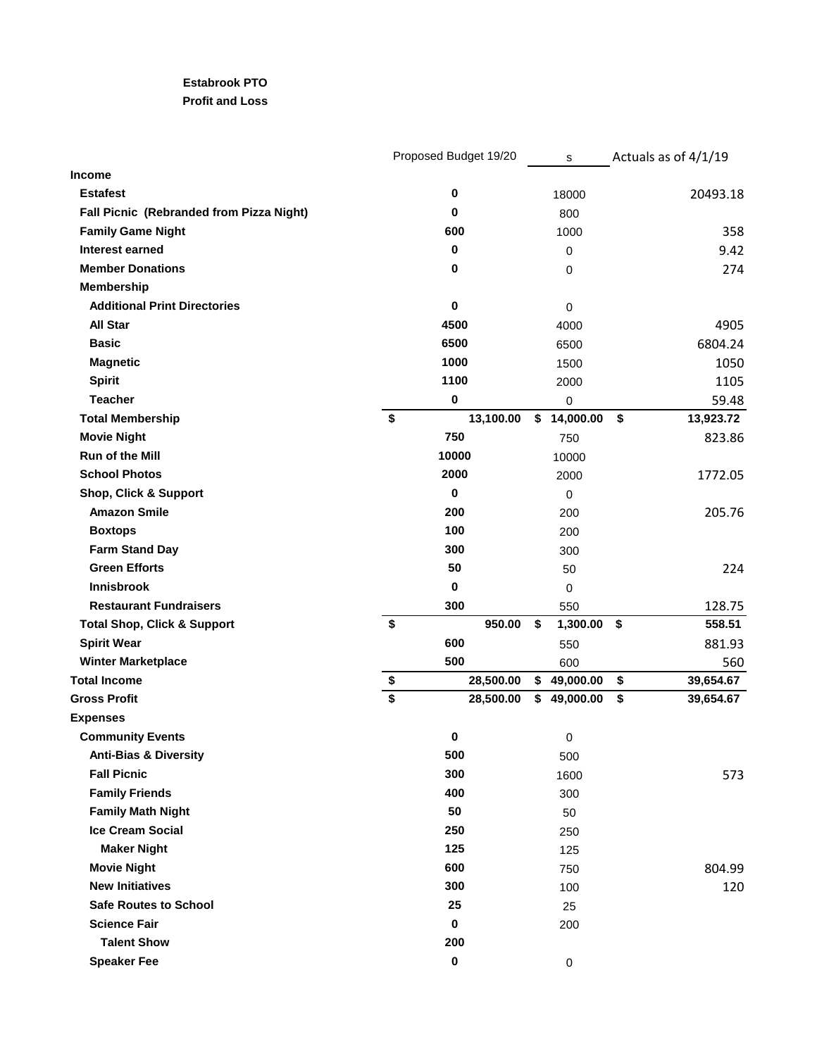## **Estabrook PTO**

## **Profit and Loss**

|                                          |                         |             | Proposed Budget 19/20 |    | s           | Actuals as of 4/1/19 |
|------------------------------------------|-------------------------|-------------|-----------------------|----|-------------|----------------------|
| Income                                   |                         |             |                       |    |             |                      |
| <b>Estafest</b>                          |                         | 0           |                       |    | 18000       | 20493.18             |
| Fall Picnic (Rebranded from Pizza Night) |                         | 0           |                       |    | 800         |                      |
| <b>Family Game Night</b>                 |                         | 600         |                       |    | 1000        | 358                  |
| Interest earned                          |                         | $\bf{0}$    |                       |    | 0           | 9.42                 |
| <b>Member Donations</b>                  |                         | 0           |                       |    | 0           | 274                  |
| <b>Membership</b>                        |                         |             |                       |    |             |                      |
| <b>Additional Print Directories</b>      |                         | $\mathbf 0$ |                       |    | 0           |                      |
| All Star                                 |                         | 4500        |                       |    | 4000        | 4905                 |
| <b>Basic</b>                             |                         | 6500        |                       |    | 6500        | 6804.24              |
| <b>Magnetic</b>                          |                         | 1000        |                       |    | 1500        | 1050                 |
| <b>Spirit</b>                            |                         | 1100        |                       |    | 2000        | 1105                 |
| <b>Teacher</b>                           |                         | $\pmb{0}$   |                       |    | 0           | 59.48                |
| <b>Total Membership</b>                  | $\sqrt[6]{\frac{1}{2}}$ |             | 13,100.00             |    | \$14,000.00 | \$<br>13,923.72      |
| <b>Movie Night</b>                       |                         | 750         |                       |    | 750         | 823.86               |
| <b>Run of the Mill</b>                   |                         | 10000       |                       |    | 10000       |                      |
| <b>School Photos</b>                     |                         | 2000        |                       |    | 2000        | 1772.05              |
| <b>Shop, Click &amp; Support</b>         |                         | 0           |                       |    | 0           |                      |
| <b>Amazon Smile</b>                      |                         | 200         |                       |    | 200         | 205.76               |
| <b>Boxtops</b>                           |                         | 100         |                       |    | 200         |                      |
| <b>Farm Stand Day</b>                    |                         | 300         |                       |    | 300         |                      |
| <b>Green Efforts</b>                     |                         | 50          |                       |    | 50          | 224                  |
| <b>Innisbrook</b>                        |                         | 0           |                       |    | 0           |                      |
| <b>Restaurant Fundraisers</b>            |                         | 300         |                       |    | 550         | 128.75               |
| <b>Total Shop, Click &amp; Support</b>   | \$                      |             | 950.00                | \$ | 1,300.00    | \$<br>558.51         |
| <b>Spirit Wear</b>                       |                         | 600         |                       |    | 550         | 881.93               |
| <b>Winter Marketplace</b>                |                         | 500         |                       |    | 600         | 560                  |
| <b>Total Income</b>                      | \$                      |             | 28,500.00             |    | \$49,000.00 | \$<br>39,654.67      |
| <b>Gross Profit</b>                      | \$                      |             | 28,500.00             | S. | 49,000.00   | \$<br>39,654.67      |
| <b>Expenses</b>                          |                         |             |                       |    |             |                      |
| <b>Community Events</b>                  |                         | 0           |                       |    | 0           |                      |
| <b>Anti-Bias &amp; Diversity</b>         |                         | 500         |                       |    | 500         |                      |
| <b>Fall Picnic</b>                       |                         | 300         |                       |    | 1600        | 573                  |
| <b>Family Friends</b>                    |                         | 400         |                       |    | 300         |                      |
| <b>Family Math Night</b>                 |                         | 50          |                       |    | 50          |                      |
| <b>Ice Cream Social</b>                  |                         | 250         |                       |    | 250         |                      |
| <b>Maker Night</b>                       |                         | 125         |                       |    | 125         |                      |
| <b>Movie Night</b>                       |                         | 600         |                       |    | 750         | 804.99               |
| <b>New Initiatives</b>                   |                         | 300         |                       |    | 100         | 120                  |
| <b>Safe Routes to School</b>             |                         | 25          |                       |    | 25          |                      |
| <b>Science Fair</b>                      |                         | 0           |                       |    | 200         |                      |
| <b>Talent Show</b>                       |                         | 200         |                       |    |             |                      |
| <b>Speaker Fee</b>                       |                         | $\pmb{0}$   |                       |    | 0           |                      |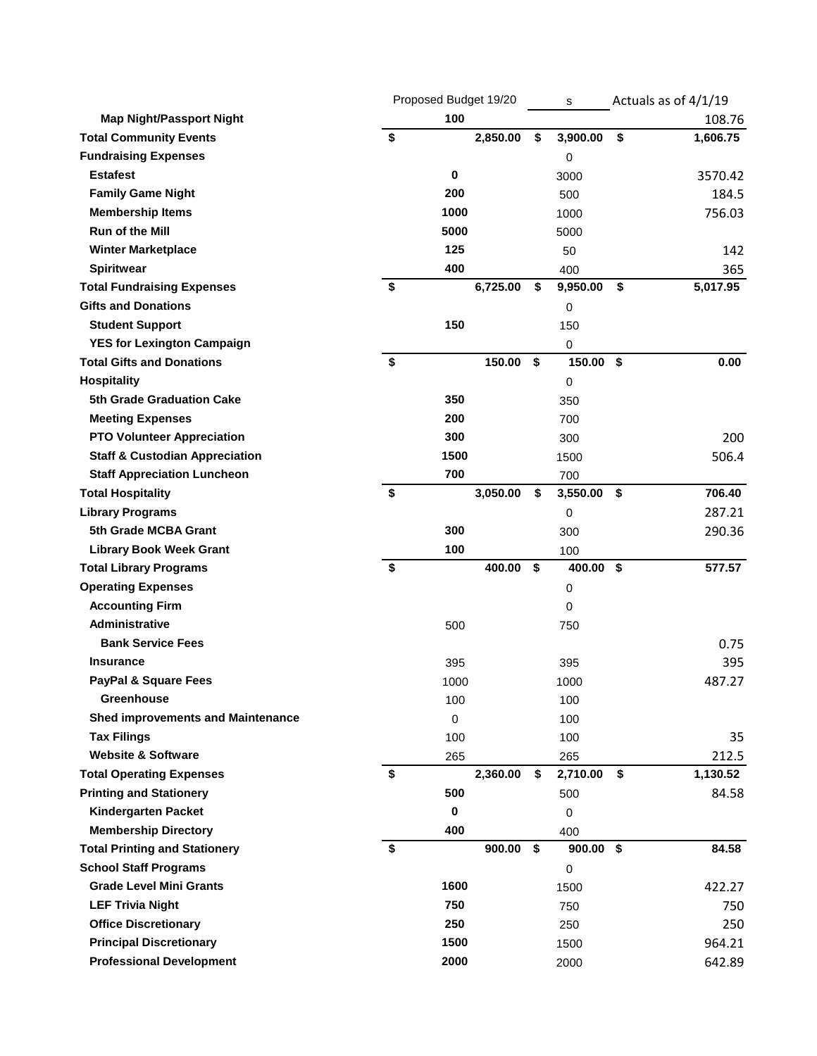|                                           | Proposed Budget 19/20 |             | s        | Actuals as of 4/1/19 |    |               |
|-------------------------------------------|-----------------------|-------------|----------|----------------------|----|---------------|
| <b>Map Night/Passport Night</b>           |                       | 100         |          |                      |    | 108.76        |
| <b>Total Community Events</b>             | \$                    |             | 2,850.00 | \$<br>3,900.00       | \$ | 1,606.75      |
| <b>Fundraising Expenses</b>               |                       |             |          | 0                    |    |               |
| <b>Estafest</b>                           |                       | 0           |          | 3000                 |    | 3570.42       |
| <b>Family Game Night</b>                  |                       | 200         |          | 500                  |    | 184.5         |
| <b>Membership Items</b>                   |                       | 1000        |          | 1000                 |    | 756.03        |
| <b>Run of the Mill</b>                    |                       | 5000        |          | 5000                 |    |               |
| <b>Winter Marketplace</b>                 |                       | 125         |          | 50                   |    | 142           |
| <b>Spiritwear</b>                         |                       | 400         |          | 400                  |    | 365           |
| <b>Total Fundraising Expenses</b>         | \$                    |             | 6,725.00 | \$<br>9,950.00       | \$ | 5,017.95      |
| <b>Gifts and Donations</b>                |                       |             |          | 0                    |    |               |
| <b>Student Support</b>                    |                       | 150         |          | 150                  |    |               |
| <b>YES for Lexington Campaign</b>         |                       |             |          | 0                    |    |               |
| <b>Total Gifts and Donations</b>          | \$                    |             | 150.00   | \$<br>150.00         | \$ | 0.00          |
| Hospitality                               |                       |             |          | 0                    |    |               |
| 5th Grade Graduation Cake                 |                       | 350         |          | 350                  |    |               |
| <b>Meeting Expenses</b>                   |                       | 200         |          | 700                  |    |               |
| <b>PTO Volunteer Appreciation</b>         |                       | 300         |          | 300                  |    | 200           |
| <b>Staff &amp; Custodian Appreciation</b> |                       | 1500        |          | 1500                 |    | 506.4         |
| <b>Staff Appreciation Luncheon</b>        |                       | 700         |          | 700                  |    |               |
| <b>Total Hospitality</b>                  | \$                    |             | 3,050.00 | \$<br>3,550.00       | \$ | 706.40        |
| <b>Library Programs</b>                   |                       |             |          | 0                    |    | 287.21        |
| 5th Grade MCBA Grant                      |                       | 300         |          | 300                  |    | 290.36        |
| <b>Library Book Week Grant</b>            |                       | 100         |          | 100                  |    |               |
| <b>Total Library Programs</b>             | \$                    |             | 400.00   | \$<br>400.00 \$      |    | 577.57        |
| <b>Operating Expenses</b>                 |                       |             |          | 0                    |    |               |
| <b>Accounting Firm</b>                    |                       |             |          | 0                    |    |               |
| <b>Administrative</b>                     |                       | 500         |          | 750                  |    |               |
| <b>Bank Service Fees</b>                  |                       |             |          |                      |    | 0.75          |
| <b>Insurance</b>                          |                       | 395         |          | 395                  |    | 395           |
| <b>PayPal &amp; Square Fees</b>           |                       | 1000        |          | 1000                 |    | 487.27        |
| Greenhouse                                |                       | 100         |          | 100                  |    |               |
| <b>Shed improvements and Maintenance</b>  |                       | $\pmb{0}$   |          | 100                  |    |               |
| <b>Tax Filings</b>                        |                       | 100         |          | 100                  |    | 35            |
| <b>Website &amp; Software</b>             |                       | 265         |          | 265                  |    | 212.5         |
| <b>Total Operating Expenses</b>           | \$                    |             | 2,360.00 | \$<br>2,710.00 \$    |    | 1,130.52      |
| <b>Printing and Stationery</b>            |                       | 500         |          | 500                  |    | 84.58         |
| Kindergarten Packet                       |                       | $\pmb{0}$   |          | 0                    |    |               |
| <b>Membership Directory</b>               |                       | 400         |          | 400                  |    |               |
| <b>Total Printing and Stationery</b>      | \$                    |             | 900.00   | \$<br>$900.00$ \$    |    | 84.58         |
| <b>School Staff Programs</b>              |                       |             |          | 0                    |    |               |
| <b>Grade Level Mini Grants</b>            |                       | 1600        |          | 1500                 |    | 422.27        |
| <b>LEF Trivia Night</b>                   |                       | 750         |          | 750                  |    | 750           |
| <b>Office Discretionary</b>               |                       |             |          |                      |    |               |
|                                           |                       |             |          |                      |    |               |
| <b>Principal Discretionary</b>            |                       | 250<br>1500 |          | 250<br>1500          |    | 250<br>964.21 |